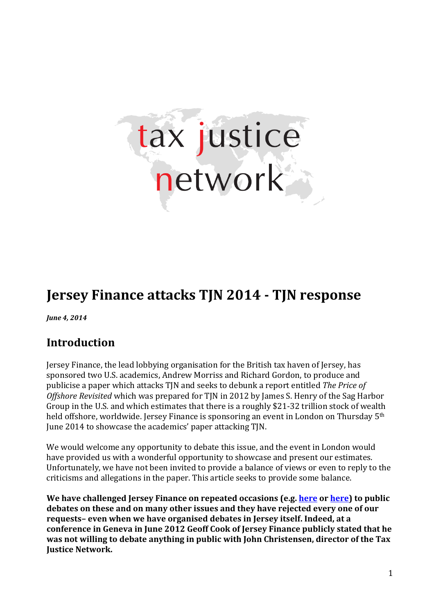

# **Jersey Finance attacks TJN 2014 - TJN response**

*June 4, 2014*

# **Introduction**

Jersey Finance, the lead lobbying organisation for the British tax haven of Jersey, has sponsored two U.S. academics, Andrew Morriss and Richard Gordon, to produce and publicise a paper which attacks TJN and seeks to debunk a report entitled *The Price of Offshore Revisited* which was prepared for TJN in 2012 by James S. Henry of the Sag Harbor Group in the U.S*.* and which estimates that there is a roughly \$21-32 trillion stock of wealth held offshore, worldwide. Jersey Finance is sponsoring an event in London on Thursday 5<sup>th</sup> June 2014 to showcase the academics' paper attacking TJN.

We would welcome any opportunity to debate this issue, and the event in London would have provided us with a wonderful opportunity to showcase and present our estimates. Unfortunately, we have not been invited to provide a balance of views or even to reply to the criticisms and allegations in the paper. This article seeks to provide some balance.

**We have challenged Jersey Finance on repeated occasions (e.g[. here](http://taxjustice.blogspot.de/2011/11/jerseys-geoff-cook-flies-undone.html) o[r here\)](http://taxjustice.blogspot.de/2012/10/jerseys-green-eyed-bug-rears-his-ugly.html) to public debates on these and on many other issues and they have rejected every one of our requests– even when we have organised debates in Jersey itself. Indeed, at a conference in Geneva in June 2012 Geoff Cook of Jersey Finance publicly stated that he was not willing to debate anything in public with John Christensen, director of the Tax Justice Network.**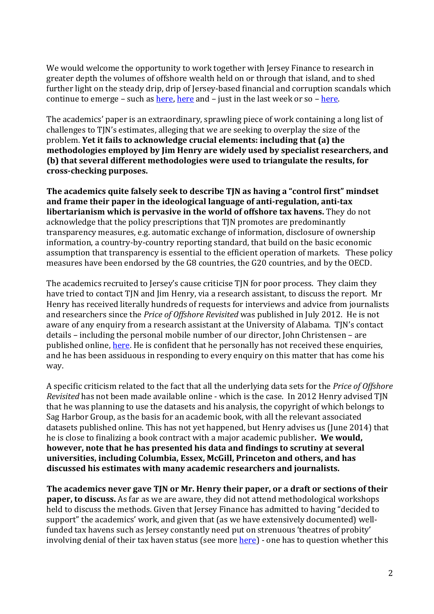We would welcome the opportunity to work together with Jersey Finance to research in greater depth the volumes of offshore wealth held on or through that island, and to shed further light on the steady drip, drip of Jersey-based financial and corruption scandals which continue to emerge – such as [here,](http://www.dailymail.co.uk/news/article-2230349/HSBC-accused-setting-thousands-tax-evading-accounts-Jersey-including-drugs-arms-dealers.html) [here](http://treasureislands.org/top-ex-cop-blasts-jersey-corruption/) and – just in the last week or so – [here.](http://www.taxjustice.net/wp-content/uploads/2014/06/Jersey-gold-war-crimes-2014.jpg)

The academics' paper is an extraordinary, sprawling piece of work containing a long list of challenges to TJN's estimates, alleging that we are seeking to overplay the size of the problem. **Yet it fails to acknowledge crucial elements: including that (a) the methodologies employed by Jim Henry are widely used by specialist researchers, and (b) that several different methodologies were used to triangulate the results, for cross-checking purposes.**

**The academics quite falsely seek to describe TJN as having a "control first" mindset and frame their paper in the ideological language of anti-regulation, anti-tax libertarianism which is pervasive in the world of offshore tax havens.** They do not acknowledge that the policy prescriptions that TJN promotes are predominantly transparency measures, e.g. automatic exchange of information, disclosure of ownership information, a country-by-country reporting standard, that build on the basic economic assumption that transparency is essential to the efficient operation of markets. These policy measures have been endorsed by the G8 countries, the G20 countries, and by the OECD.

The academics recruited to Jersey's cause criticise TJN for poor process. They claim they have tried to contact TJN and Jim Henry, via a research assistant, to discuss the report. Mr Henry has received literally hundreds of requests for interviews and advice from journalists and researchers since the *Price of Offshore Revisited* was published in July 2012. He is not aware of any enquiry from a research assistant at the University of Alabama. TJN's contact details – including the personal mobile number of our director, John Christensen – are published online, [here.](http://www.taxjustice.net/contact-3/) He is confident that he personally has not received these enquiries, and he has been assiduous in responding to every enquiry on this matter that has come his way.

A specific criticism related to the fact that all the underlying data sets for the *Price of Offshore Revisited* has not been made available online - which is the case. In 2012 Henry advised TJN that he was planning to use the datasets and his analysis, the copyright of which belongs to Sag Harbor Group, as the basis for an academic book, with all the relevant associated datasets published online. This has not yet happened, but Henry advises us (June 2014) that he is close to finalizing a book contract with a major academic publisher**. We would, however, note that he has presented his data and findings to scrutiny at several universities, including Columbia, Essex, McGill, Princeton and others, and has discussed his estimates with many academic researchers and journalists.** 

**The academics never gave TJN or Mr. Henry their paper, or a draft or sections of their paper, to discuss.** As far as we are aware, they did not attend methodological workshops held to discuss the methods. Given that Jersey Finance has admitted to having "decided to support" the academics' work, and given that (as we have extensively documented) wellfunded tax havens such as Jersey constantly need put on strenuous 'theatres of probity' involving denial of their tax haven status (see more [here\)](http://treasureislands.org/what-can-tax-havens-do-to-clean-up-their-image/) - one has to question whether this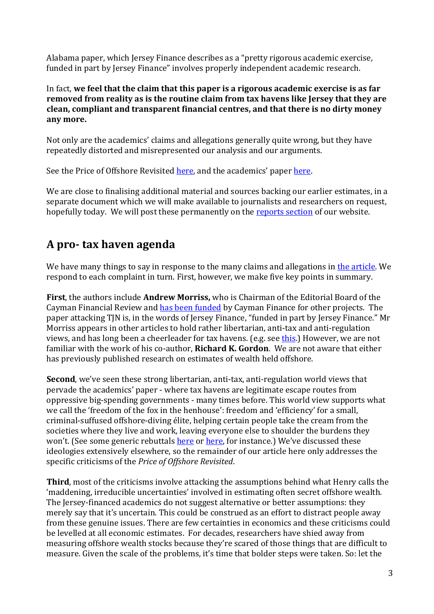Alabama paper, which Jersey Finance describes as a "pretty rigorous academic exercise, funded in part by Jersey Finance" involves properly independent academic research.

In fact, **we feel that the claim that this paper is a rigorous academic exercise is as far removed from reality as is the routine claim from tax havens like Jersey that they are clean, compliant and transparent financial centres, and that there is no dirty money any more.**

Not only are the academics' claims and allegations generally quite wrong, but they have repeatedly distorted and misrepresented our analysis and our arguments.

See the Price of Offshore Revisited <u>here</u>, and the academics' pape[r here.](http://papers.ssrn.com/sol3/papers.cfm?abstract_id=2348144)

We are close to finalising additional material and sources backing our earlier estimates, in a separate document which we will make available to journalists and researchers on request, hopefully today. We will post these permanently on the [reports section](http://www.taxjustice.net/reports-2/) of our website.

# **A pro- tax haven agenda**

We have many things to say in response to the many claims and allegations i[n the article.](http://papers.ssrn.com/sol3/papers.cfm?abstract_id=2348144) We respond to each complaint in turn. First, however, we make five key points in summary.

**First**, the authors include **Andrew Morriss,** who is Chairman of the Editorial Board of the Cayman Financial Review and [has been funded](http://www.compasscayman.com/journal/2013/12/04/Cayman-Immigration-policy---Impacts-on-financial-sector/) by Cayman Finance for other projects. The paper attacking TJN is, in the words of Jersey Finance, "funded in part by Jersey Finance." Mr Morriss appears in other articles to hold rather libertarian, anti-tax and anti-regulation views, and has long been a cheerleader for tax havens. (e.g. see [this.](http://www.compasscayman.com/cfr/2012/04/11/The-future-of-financial-regulation--Dark-clouds-on-the-horizon/)) However, we are not familiar with the work of his co-author, **Richard K. Gordon**. We are not aware that either has previously published research on estimates of wealth held offshore.

**Second**, we've seen these strong libertarian, anti-tax, anti-regulation world views that pervade the academics' paper - where tax havens are legitimate escape routes from oppressive big-spending governments - many times before. This world view supports what we call the 'freedom of the fox in the henhouse': freedom and 'efficiency' for a small, criminal-suffused offshore-diving élite, helping certain people take the cream from the societies where they live and work, leaving everyone else to shoulder the burdens they won't. (See some generic rebuttals [here](http://www.taxjustice.net/faq/) or [here,](http://www.taxjustice.net/2014/05/29/non-perils-information-exchange/) for instance.) We've discussed these ideologies extensively elsewhere, so the remainder of our article here only addresses the specific criticisms of the *Price of Offshore Revisited*.

**Third**, most of the criticisms involve attacking the assumptions behind what Henry calls the 'maddening, irreducible uncertainties' involved in estimating often secret offshore wealth. The Jersey-financed academics do not suggest alternative or better assumptions: they merely say that it's uncertain. This could be construed as an effort to distract people away from these genuine issues. There are few certainties in economics and these criticisms could be levelled at all economic estimates. For decades, researchers have shied away from measuring offshore wealth stocks because they're scared of those things that are difficult to measure. Given the scale of the problems, it's time that bolder steps were taken. So: let the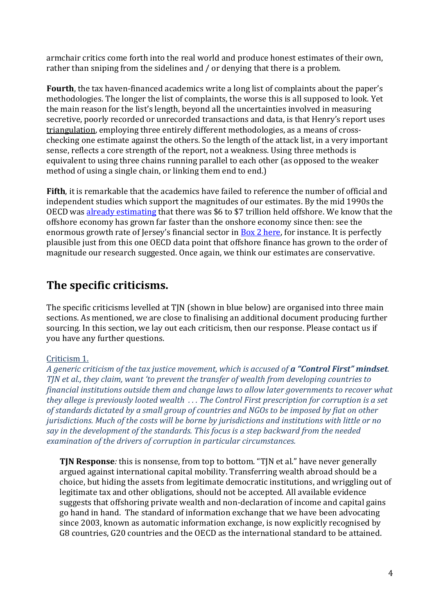armchair critics come forth into the real world and produce honest estimates of their own, rather than sniping from the sidelines and / or denying that there is a problem.

**Fourth**, the tax haven-financed academics write a long list of complaints about the paper's methodologies. The longer the list of complaints, the worse this is all supposed to look. Yet the main reason for the list's length, beyond all the uncertainties involved in measuring secretive, poorly recorded or unrecorded transactions and data, is that Henry's report uses triangulation, employing three entirely different methodologies, as a means of crosschecking one estimate against the others. So the length of the attack list, in a very important sense, reflects a core strength of the report, not a weakness. Using three methods is equivalent to using three chains running parallel to each other (as opposed to the weaker method of using a single chain, or linking them end to end.)

**Fifth**, it is remarkable that the academics have failed to reference the number of official and independent studies which support the magnitudes of our estimates. By the mid 1990s the OECD was [already estimating](http://www.taxjustice.net/cms/upload/pdf/oxfam_paper_-_final_version__06_00.pdf) that there was \$6 to \$7 trillion held offshore. We know that the offshore economy has grown far faster than the onshore economy since then: see the enormous growth rate of Jersey's financial sector in **Box 2 here**, for instance. It is perfectly plausible just from this one OECD data point that offshore finance has grown to the order of magnitude our research suggested. Once again, we think our estimates are conservative.

# **The specific criticisms.**

The specific criticisms levelled at TJN (shown in blue below) are organised into three main sections. As mentioned, we are close to finalising an additional document producing further sourcing. In this section, we lay out each criticism, then our response. Please contact us if you have any further questions.

# Criticism 1.

*A generic criticism of the tax justice movement, which is accused of a "Control First" mindset. TJN et al., they claim, want 'to prevent the transfer of wealth from developing countries to financial institutions outside them and change laws to allow later governments to recover what they allege is previously looted wealth . . . The Control First prescription for corruption is a set of standards dictated by a small group of countries and NGOs to be imposed by fiat on other jurisdictions. Much of the costs will be borne by jurisdictions and institutions with little or no say in the development of the standards. This focus is a step backward from the needed examination of the drivers of corruption in particular circumstances.*

**TJN Response***:* this is nonsense, from top to bottom. "TJN et al." have never generally argued against international capital mobility. Transferring wealth abroad should be a choice, but hiding the assets from legitimate democratic institutions, and wriggling out of legitimate tax and other obligations, should not be accepted. All available evidence suggests that offshoring private wealth and non-declaration of income and capital gains go hand in hand. The standard of information exchange that we have been advocating since 2003, known as automatic information exchange, is now explicitly recognised by G8 countries, G20 countries and the OECD as the international standard to be attained.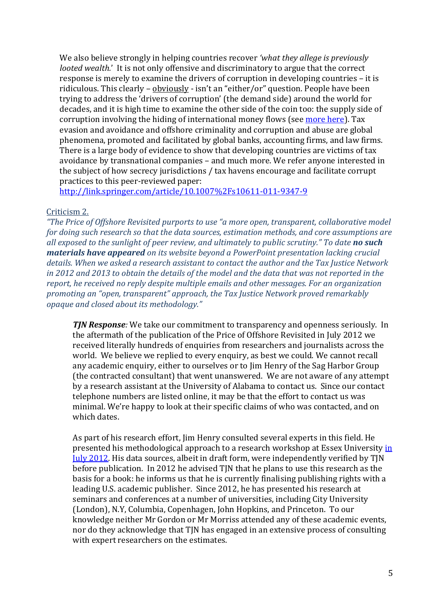We also believe strongly in helping countries recover *'what they allege is previously looted wealth.'* It is not only offensive and discriminatory to argue that the correct response is merely to examine the drivers of corruption in developing countries – it is ridiculous. This clearly  $-$  obviously  $-$  isn't an "either/or" question. People have been trying to address the 'drivers of corruption' (the demand side) around the world for decades, and it is high time to examine the other side of the coin too: the supply side of corruption involving the hiding of international money flows (see [more here\)](http://www.taxjustice.net/cms/upload/pdf/0701_Mirror_Mirror_corruption.pdf). Tax evasion and avoidance and offshore criminality and corruption and abuse are global phenomena, promoted and facilitated by global banks, accounting firms, and law firms. There is a large body of evidence to show that developing countries are victims of tax avoidance by transnational companies – and much more. We refer anyone interested in the subject of how secrecy jurisdictions / tax havens encourage and facilitate corrupt practices to this peer-reviewed paper:

<http://link.springer.com/article/10.1007%2Fs10611-011-9347-9>

# Criticism 2.

*"The Price of Offshore Revisited purports to use "a more open, transparent, collaborative model for doing such research so that the data sources, estimation methods, and core assumptions are all exposed to the sunlight of peer review, and ultimately to public scrutiny."* To date **no such** *materials have appeared on its website beyond a PowerPoint presentation lacking crucial details. When we asked a research assistant to contact the author and the Tax Justice Network in 2012 and 2013 to obtain the details of the model and the data that was not reported in the report, he received no reply despite multiple emails and other messages. For an organization promoting an "open, transparent" approach, the Tax Justice Network proved remarkably opaque and closed about its methodology."*

*TJN Response:* We take our commitment to transparency and openness seriously. In the aftermath of the publication of the Price of Offshore Revisited in July 2012 we received literally hundreds of enquiries from researchers and journalists across the world. We believe we replied to every enquiry, as best we could. We cannot recall any academic enquiry, either to ourselves or to Jim Henry of the Sag Harbor Group (the contracted consultant) that went unanswered. We are not aware of any attempt by a research assistant at the University of Alabama to contact us. Since our contact telephone numbers are listed online, it may be that the effort to contact us was minimal. We're happy to look at their specific claims of who was contacted, and on which dates.

As part of his research effort, Jim Henry consulted several experts in this field. He presented his methodological approach to a research workshop at Essex University in [July 2012.](http://visar.csustan.edu/aaba/Taxprog2012.pdf) His data sources, albeit in draft form, were independently verified by TJN before publication. In 2012 he advised TJN that he plans to use this research as the basis for a book: he informs us that he is currently finalising publishing rights with a leading U.S. academic publisher. Since 2012, he has presented his research at seminars and conferences at a number of universities, including City University (London), N.Y, Columbia, Copenhagen, John Hopkins, and Princeton. To our knowledge neither Mr Gordon or Mr Morriss attended any of these academic events, nor do they acknowledge that TJN has engaged in an extensive process of consulting with expert researchers on the estimates.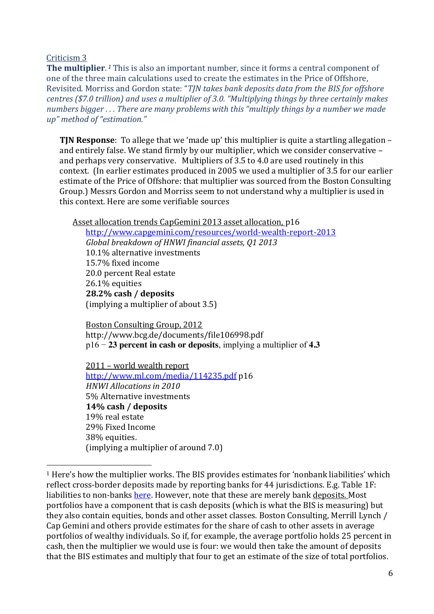Criticism 3

**The multiplier**. *<sup>1</sup>* This is also an important number, since it forms a central component of one of the three main calculations used to create the estimates in the Price of Offshore, Revisited. Morriss and Gordon state: "*TJN takes bank deposits data from the BIS for offshore centres (\$7.0 trillion) and uses a multiplier of 3.0. "Multiplying things by three certainly makes numbers bigger* ... There are many problems with this "multiply things by a number we made *up" method of "estimation."*

**TIN Response**: To allege that we 'made up' this multiplier is quite a startling allegation – and entirely false. We stand firmly by our multiplier, which we consider conservative – and perhaps very conservative. Multipliers of 3.5 to 4.0 are used routinely in this context. (In earlier estimates produced in 2005 we used a multiplier of 3.5 for our earlier estimate of the Price of Offshore: that multiplier was sourced from the Boston Consulting Group.) Messrs Gordon and Morriss seem to not understand why a multiplier is used in this context. Here are some verifiable sources

Asset allocation trends CapGemini 2013 asset allocation, p16

<http://www.capgemini.com/resources/world-wealth-report-2013> *Global breakdown of HNWI financial assets, Q1 2013* 10.1% alternative investments 15.7% fixed income 20.0 percent Real estate 26.1% equities **28.2% cash / deposits** (implying a multiplier of about 3.5)

Boston Consulting Group, 2012 <http://www.bcg.de/documents/file106998.pdf> p16 − **23 percent in cash or deposits**, implying a multiplier of **4.3**

2011 – world wealth report <http://www.ml.com/media/114235.pdf> p16 *HNWI Allocations in 2010* 5% Alternative investments **14% cash / deposits** 19% real estate 29% Fixed Income 38% equities. (implying a multiplier of around 7.0)

<sup>&</sup>lt;sup>1</sup> Here's how the multiplier works. The BIS provides estimates for 'nonbank liabilities' which reflect cross-border deposits made by reporting banks for 44 jurisdictions. E.g. Table 1F: liabilities to non-banks [here.](http://www.bis.org/publ/qtrpdf/r_qa1403.pdf) However, note that these are merely bank deposits. Most portfolios have a component that is cash deposits (which is what the BIS is measuring) but they also contain equities, bonds and other asset classes. Boston Consulting, Merrill Lynch / Cap Gemini and others provide estimates for the share of cash to other assets in average portfolios of wealthy individuals. So if, for example, the average portfolio holds 25 percent in cash, then the multiplier we would use is four: we would then take the amount of deposits that the BIS estimates and multiply that four to get an estimate of the size of total portfolios.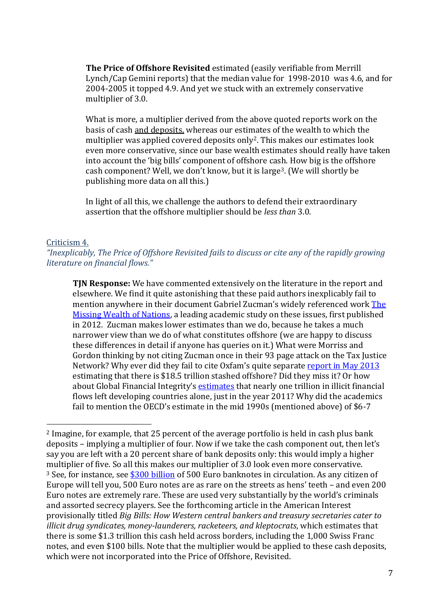**The Price of Offshore Revisited** estimated (easily verifiable from Merrill Lynch/Cap Gemini reports) that the median value for 1998-2010 was 4.6, and for 2004-2005 it topped 4.9. And yet we stuck with an extremely conservative multiplier of 3.0.

What is more, a multiplier derived from the above quoted reports work on the basis of cash and deposits, whereas our estimates of the wealth to which the multiplier was applied covered deposits only2. This makes our estimates look even more conservative, since our base wealth estimates should really have taken into account the 'big bills' component of offshore cash. How big is the offshore cash component? Well, we don't know, but it is large<sup>3</sup>. (We will shortly be publishing more data on all this.)

In light of all this, we challenge the authors to defend their extraordinary assertion that the offshore multiplier should be *less than* 3.0.

#### Criticism 4.

*"Inexplicably, The Price of Offshore Revisited fails to discuss or cite any of the rapidly growing literature on financial flows."*

**TJN Response:** We have commented extensively on the literature in the report and elsewhere. We find it quite astonishing that these paid authors inexplicably fail to mention anywhere in their document Gabriel Zucman's widely referenced work The [Missing Wealth of Nations,](http://ideas.repec.org/p/hal/psewpa/halshs-00565224.html) a leading academic study on these issues, first published in 2012. Zucman makes lower estimates than we do, because he takes a much narrower view than we do of what constitutes offshore (we are happy to discuss these differences in detail if anyone has queries on it.) What were Morriss and Gordon thinking by not citing Zucman once in their 93 page attack on the Tax Justice Network? Why ever did they fail to cite Oxfam's quite separate [report in May 2013](http://www.oxfam.org/en/eu/pressroom/pressrelease/2013-05-22/tax-havens-private-billions-could-end-extreme-poverty-twice-over) estimating that there is \$18.5 trillion stashed offshore? Did they miss it? Or how about Global Financial Integrity's [estimates](http://www.gfintegrity.org/report/2013-global-report-illicit-financial-flows-from-developing-countries-2002-2011/) that nearly one trillion in illicit financial flows left developing countries alone, just in the year 2011? Why did the academics fail to mention the OECD's estimate in the mid 1990s (mentioned above) of \$6-7

 <sup>2</sup> Imagine, for example, that 25 percent of the average portfolio is held in cash plus bank deposits – implying a multiplier of four. Now if we take the cash component out, then let's say you are left with a 20 percent share of bank deposits only: this would imply a higher multiplier of five. So all this makes our multiplier of 3.0 look even more conservative. <sup>3</sup> See, for instance, see [\\$300 billion](http://sdw.ecb.europa.eu/reports.do?node=1000001238) of 500 Euro banknotes in circulation. As any citizen of Europe will tell you, 500 Euro notes are as rare on the streets as hens' teeth – and even 200 Euro notes are extremely rare. These are used very substantially by the world's criminals and assorted secrecy players. See the forthcoming article in the American Interest provisionally titled *Big Bills: How Western central bankers and treasury secretaries cater to illicit drug syndicates, money-launderers, racketeers, and kleptocrats*, which estimates that there is some \$1.3 trillion this cash held across borders, including the 1,000 Swiss Franc notes, and even \$100 bills. Note that the multiplier would be applied to these cash deposits, which were not incorporated into the Price of Offshore, Revisited.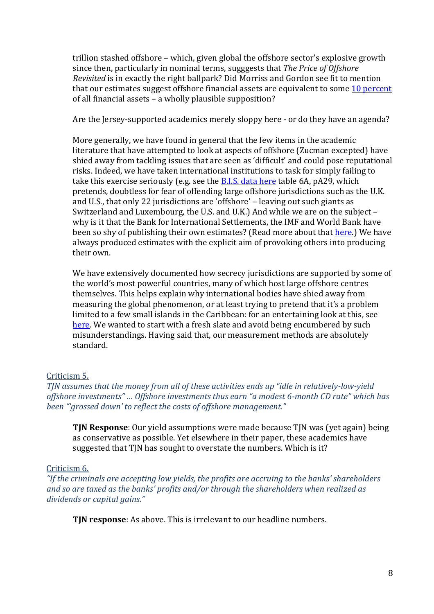trillion stashed offshore – which, given global the offshore sector's explosive growth since then, particularly in nominal terms, sugggests that *The Price of Offshore Revisited* is in exactly the right ballpark? Did Morriss and Gordon see fit to mention that our estimates suggest offshore financial assets are equivalent to some [10 percent](https://www.credit-suisse.com/ch/en/news-and-expertise/research/credit-suisse-research-institute/news-and-videos.article.html/article/pwp/news-and-expertise/2013/10/en/global-wealth-reaches-new-all-time-high.html) of all financial assets – a wholly plausible supposition?

Are the Jersey-supported academics merely sloppy here - or do they have an agenda?

More generally, we have found in general that the few items in the academic literature that have attempted to look at aspects of offshore (Zucman excepted) have shied away from tackling issues that are seen as 'difficult' and could pose reputational risks. Indeed, we have taken international institutions to task for simply failing to take this exercise seriously (e.g. see the **B.I.S.** data here table 6A, pA29, which pretends, doubtless for fear of offending large offshore jurisdictions such as the U.K. and U.S., that only 22 jurisdictions are 'offshore' - leaving out such giants as Switzerland and Luxembourg, the U.S. and U.K.) And while we are on the subject – why is it that the Bank for International Settlements, the IMF and World Bank have been so shy of publishing their own estimates? (Read more about that [here.](http://treasureislands.org/galbraith-why-economists-wont-discuss-fraud/)) We have always produced estimates with the explicit aim of provoking others into producing their own.

We have extensively documented how secrecy jurisdictions are supported by some of the world's most powerful countries, many of which host large offshore centres themselves. This helps explain why international bodies have shied away from measuring the global phenomenon, or at least trying to pretend that it's a problem limited to a few small islands in the Caribbean: for an entertaining look at this, see [here.](http://treasureislands.org/galbraith-why-economists-wont-discuss-fraud/) We wanted to start with a fresh slate and avoid being encumbered by such misunderstandings. Having said that, our measurement methods are absolutely standard.

# Criticism 5.

*TJN* assumes that the money from all of these activities ends up "idle in relatively-low-yield *offshore investments"* ... Offshore investments thus earn "a modest 6-month CD rate" which has been "grossed down' to reflect the costs of offshore management."

**TJN Response**: Our yield assumptions were made because TJN was (yet again) being as conservative as possible. Yet elsewhere in their paper, these academics have suggested that TJN has sought to overstate the numbers. Which is it?

# Criticism 6.

*"If* the criminals are accepting low yields, the profits are accruing to the banks' shareholders *and so are taxed as the banks' profits and/or through the shareholders when realized as dividends or capital gains."*

**TJN response**: As above. This is irrelevant to our headline numbers.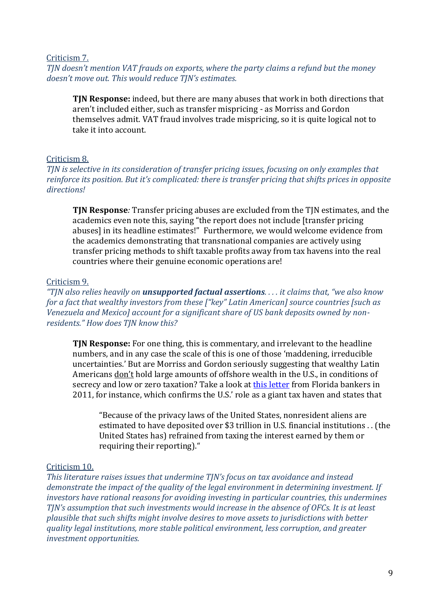Criticism 7.

*TJN* doesn't mention VAT frauds on exports, where the party claims a refund but the money doesn't move out. This would reduce TJN's estimates.

**TJN Response:** indeed, but there are many abuses that work in both directions that aren't included either, such as transfer mispricing - as Morriss and Gordon themselves admit. VAT fraud involves trade mispricing, so it is quite logical not to take it into account.

### Criticism 8.

*TJN is selective in its consideration of transfer pricing issues, focusing on only examples that reinforce its position. But it's complicated: there is transfer pricing that shifts prices in opposite directions!*

**TJN Response***:* Transfer pricing abuses are excluded from the TJN estimates, and the academics even note this, saying "the report does not include [transfer pricing abuses] in its headline estimates!" Furthermore, we would welcome evidence from the academics demonstrating that transnational companies are actively using transfer pricing methods to shift taxable profits away from tax havens into the real countries where their genuine economic operations are!

### Criticism 9.

*"TJN also relies heavily on unsupported factual assertions. . . . it claims that, "we also know for a fact that wealthy investors from these*  $\int$ "*key"* Latin American] source countries [such as *Venezuela and Mexico] account for a significant share of US bank deposits owned by nonresidents." How does TJN know this?*

**TJN Response:** For one thing, this is commentary, and irrelevant to the headline numbers, and in any case the scale of this is one of those 'maddening, irreducible uncertainties.' But are Morriss and Gordon seriously suggesting that wealthy Latin Americans don't hold large amounts of offshore wealth in the U.S., in conditions of secrecy and low or zero taxation? Take a look at [this letter](http://posey.house.gov/uploadedfiles/irs-delegationletter-march3-2011.pdf) from Florida bankers in 2011, for instance, which confirms the U.S.' role as a giant tax haven and states that

"Because of the privacy laws of the United States, nonresident aliens are estimated to have deposited over \$3 trillion in U.S. financial institutions . . (the United States has) refrained from taxing the interest earned by them or requiring their reporting)."

#### Criticism 10.

*This literature raises issues that undermine TJN's focus on tax avoidance and instead demonstrate the impact of the quality of the legal environment in determining investment. If investors have rational reasons for avoiding investing in particular countries, this undermines TJN's* assumption that such investments would increase in the absence of OFCs. It is at least *plausible that such shifts might involve desires to move assets to jurisdictions with better quality legal institutions, more stable political environment, less corruption, and greater investment opportunities.*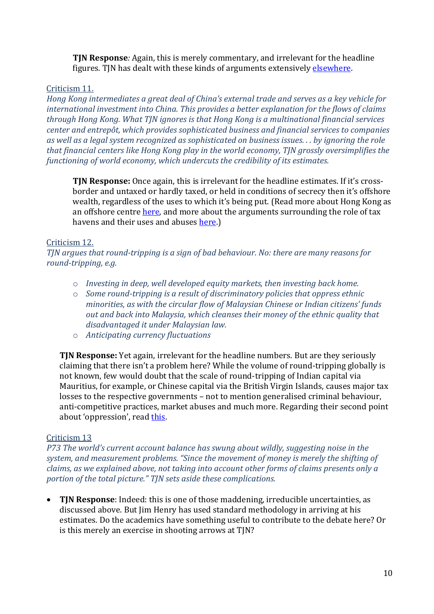**TJN Response***:* Again, this is merely commentary, and irrelevant for the headline figures. TJN has dealt with these kinds of arguments extensivel[y elsewhere.](http://www.taxjustice.net/faq/)

# Criticism 11.

*Hong Kong intermediates a great deal of China's external trade and serves as a key vehicle for international investment into China. This provides a better explanation for the flows of claims through Hong Kong. What TJN ignores is that Hong Kong is a multinational financial services center and entrepôt, which provides sophisticated business and financial services to companies as well as a legal system recognized as sophisticated on business issues. . . by ignoring the role that financial centers like Hong Kong play in the world economy, TJN grossly oversimplifies the functioning of world economy, which undercuts the credibility of its estimates.*

**TIN Response:** Once again, this is irrelevant for the headline estimates. If it's crossborder and untaxed or hardly taxed, or held in conditions of secrecy then it's offshore wealth, regardless of the uses to which it's being put. (Read more about Hong Kong as an offshore centre [here,](http://www.financialsecrecyindex.com/PDF/HongKong.pdf) and more about the arguments surrounding the role of tax havens and their uses and abuses [here.](http://www.taxjustice.net/faq/))

# Criticism 12.

*TJN argues that round-tripping is a sign of bad behaviour. No: there are many reasons for round-tripping, e.g.* 

- o *Investing in deep, well developed equity markets, then investing back home.*
- o *Some round-tripping is a result of discriminatory policies that oppress ethnic minorities, as with the circular flow of Malaysian Chinese or Indian citizens' funds out and back into Malaysia, which cleanses their money of the ethnic quality that disadvantaged it under Malaysian law.*
- o *Anticipating currency fluctuations*

**TJN Response:** Yet again, irrelevant for the headline numbers. But are they seriously claiming that there isn't a problem here? While the volume of round-tripping globally is not known, few would doubt that the scale of round-tripping of Indian capital via Mauritius, for example, or Chinese capital via the British Virgin Islands, causes major tax losses to the respective governments – not to mention generalised criminal behaviour, anti-competitive practices, market abuses and much more. Regarding their second point about 'oppression', read [this.](http://taxjustice.blogspot.de/2009/07/non-perils-of-information-exchange.html)

# Criticism 13

*P73 The world's current account balance has swung about wildly, suggesting noise in the*  system, and measurement problems. "Since the movement of money is merely the shifting of *claims, as we explained above, not taking into account other forms of claims presents only a portion of the total picture." TJN sets aside these complications.* 

 **TJN Response**: Indeed: this is one of those maddening, irreducible uncertainties, as discussed above. But Jim Henry has used standard methodology in arriving at his estimates. Do the academics have something useful to contribute to the debate here? Or is this merely an exercise in shooting arrows at TJN?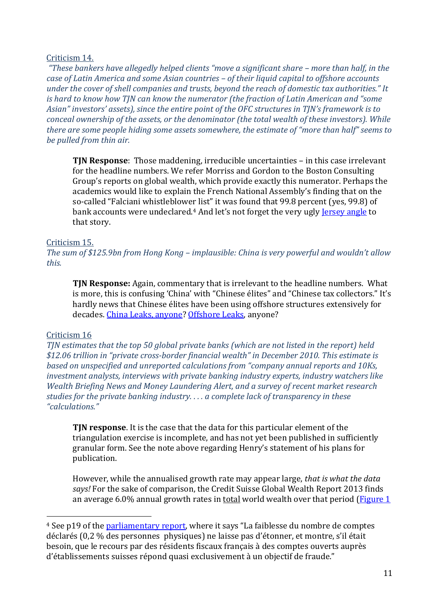### Criticism 14.

*"These bankers have allegedly helped clients "move a significant share – more than half, in the case of Latin America and some Asian countries – of their liquid capital to offshore accounts under the cover of shell companies and trusts, beyond the reach of domestic tax authorities." It is* hard to know how TJN can know the numerator (the fraction of Latin American and "some Asian" investors' assets), since the entire point of the OFC structures in TJN's framework is to *conceal ownership of the assets, or the denominator (the total wealth of these investors). While there are some people hiding some assets somewhere, the estimate of "more than half" seems to be pulled from thin air.* 

**TJN Response**: Those maddening, irreducible uncertainties – in this case irrelevant for the headline numbers. We refer Morriss and Gordon to the Boston Consulting Group's reports on global wealth, which provide exactly this numerator. Perhaps the academics would like to explain the French National Assembly's finding that on the so-called "Falciani whistleblower list" it was found that 99.8 percent (yes, 99.8) of bank accounts were undeclared.<sup>4</sup> And let's not forget the very ugly <u>[Jersey angle](http://www.dailymail.co.uk/news/article-2230349/HSBC-accused-setting-thousands-tax-evading-accounts-Jersey-including-drugs-arms-dealers.html)</u> to that story.

# Criticism 15.

*The sum of \$125.9bn from Hong Kong – implausible: China is very powerful and wouldn't allow this.*

**TJN Response:** Again, commentary that is irrelevant to the headline numbers. What is more, this is confusing 'China' with "Chinese élites" and "Chinese tax collectors." It's hardly news that Chinese élites have been using offshore structures extensively for decades. [China Leaks, anyone?](http://www.icij.org/blog/2014/01/whos-who-china-leaks) [Offshore Leaks,](http://offshoreleaks.icij.org/search?country=JE&q=&ppl=on&ent=on&adr=on) anyone?

#### Criticism 16

*TJN estimates that the top 50 global private banks (which are not listed in the report) held*  \$12.06 trillion in "private cross-border financial wealth" in December 2010. This estimate is *based on unspecified and unreported calculations from "company annual reports and 10Ks, investment analysts, interviews with private banking industry experts, industry watchers like Wealth Briefing News and Money Laundering Alert, and a survey of recent market research studies for the private banking industry. . . . a complete lack of transparency in these "calculations."*

**TJN response**. It is the case that the data for this particular element of the triangulation exercise is incomplete, and has not yet been published in sufficiently granular form. See the note above regarding Henry's statement of his plans for publication.

However, while the annualised growth rate may appear large, *that is what the data says!* For the sake of comparison, the Credit Suisse Global Wealth Report 2013 finds an average 6.0% annual growth rates in total world wealth over that period [\(Figure 1](https://publications.credit-suisse.com/tasks/render/file/?fileID=BCDB1364-A105-0560-1332EC9100FF5C83)

<sup>&</sup>lt;sup>4</sup> See p19 of the **parliamentary report**, where it says "La faiblesse du nombre de comptes déclarés (0,2 % des personnes physiques) ne laisse pas d'étonner, et montre, s'il était besoin, que le recours par des résidents fiscaux français à des comptes ouverts auprès d'établissements suisses répond quasi exclusivement à un objectif de fraude."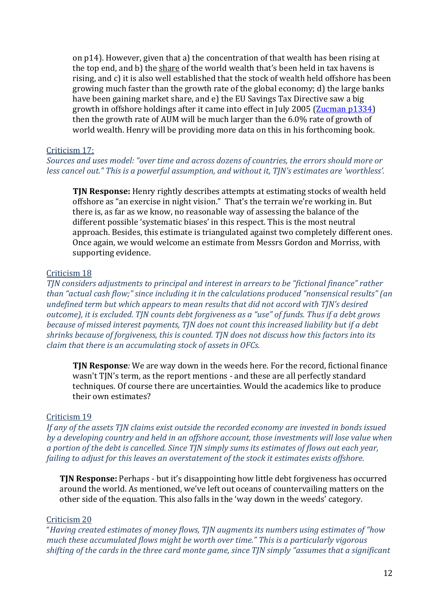on p14). However, given that a) the concentration of that wealth has been rising at the top end, and b) the share of the world wealth that's been held in tax havens is rising, and c) it is also well established that the stock of wealth held offshore has been growing much faster than the growth rate of the global economy; d) the large banks have been gaining market share, and e) the EU Savings Tax Directive saw a big growth in offshore holdings after it came into effect in July 2005 [\(Zucman p1334\)](http://gabriel-zucman.eu/files/Zucman2013QJE.pdf) then the growth rate of AUM will be much larger than the 6.0% rate of growth of world wealth. Henry will be providing more data on this in his forthcoming book.

#### Criticism 17:

Sources and uses model: "over time and across dozens of countries, the errors should more or *less cancel out."* This is a powerful assumption, and without it, TJN's estimates are 'worthless'.

**TJN Response:** Henry rightly describes attempts at estimating stocks of wealth held offshore as "an exercise in night vision." That's the terrain we're working in. But there is, as far as we know, no reasonable way of assessing the balance of the different possible 'systematic biases' in this respect. This is the most neutral approach. Besides, this estimate is triangulated against two completely different ones. Once again, we would welcome an estimate from Messrs Gordon and Morriss, with supporting evidence.

### Criticism 18

*TJN* considers adjustments to principal and interest in arrears to be "fictional finance" rather *than* "actual cash flow;" since including it in the calculations produced "nonsensical results" (an *undefined term but which appears to mean results that did not accord with TJN's desired outcome), it is excluded.* TJN counts debt forgiveness as a "use" of funds. Thus if a debt grows *because of missed interest payments, TJN does not count this increased liability but if a debt shrinks because of forgiveness, this is counted. TJN does not discuss how this factors into its claim that there is an accumulating stock of assets in OFCs.* 

**TJN Response***:* We are way down in the weeds here. For the record, fictional finance wasn't TJN's term, as the report mentions - and these are all perfectly standard techniques. Of course there are uncertainties. Would the academics like to produce their own estimates?

# Criticism 19

*If any of the assets TJN claims exist outside the recorded economy are invested in bonds issued by a developing country and held in an offshore account, those investments will lose value when a portion of the debt is cancelled. Since TJN simply sums its estimates of flows out each year, failing to adjust for this leaves an overstatement of the stock it estimates exists offshore.* 

**TJN Response:** Perhaps - but it's disappointing how little debt forgiveness has occurred around the world. As mentioned, we've left out oceans of countervailing matters on the other side of the equation. This also falls in the 'way down in the weeds' category.

# Criticism 20

"*Having created estimates of money flows, TJN augments its numbers using estimates of "how much these accumulated flows might be worth over time." This is a particularly vigorous* shifting of the cards in the three card monte game, since TJN simply "assumes that a significant